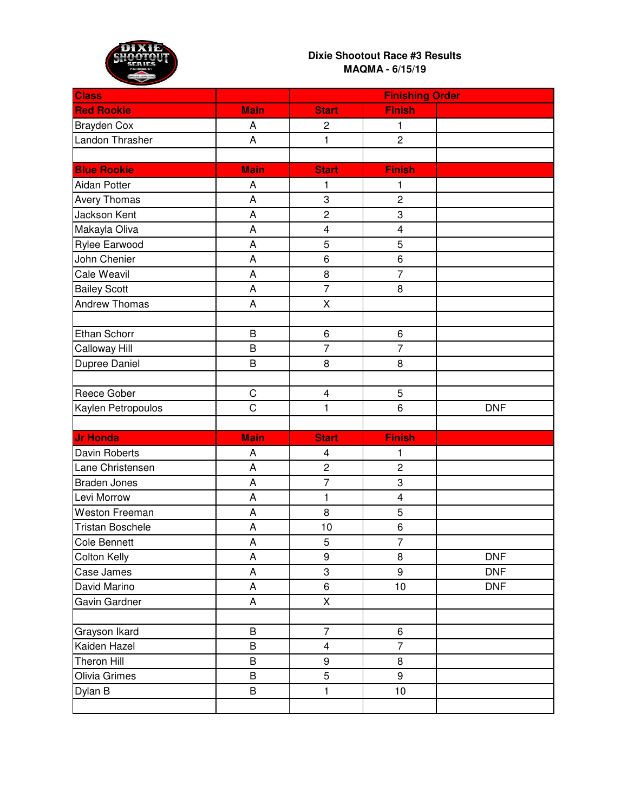

| <b>Class</b>            |                | <b>Finishing Order</b>  |                         |            |
|-------------------------|----------------|-------------------------|-------------------------|------------|
| <b>Red Rookie</b>       | <b>Main</b>    | <b>Start</b>            | <b>Finish</b>           |            |
| <b>Brayden Cox</b>      | A              | $\overline{c}$          | 1                       |            |
| Landon Thrasher         | A              | $\mathbf{1}$            | $\overline{c}$          |            |
|                         |                |                         |                         |            |
| <b>Blue Rookie</b>      | <b>Main</b>    | <b>Start</b>            | <b>Finish</b>           |            |
| <b>Aidan Potter</b>     | A              | 1                       | 1                       |            |
| <b>Avery Thomas</b>     | A              | 3                       | $\overline{c}$          |            |
| Jackson Kent            | A              | $\overline{c}$          | 3                       |            |
| Makayla Oliva           | A              | $\overline{\mathbf{4}}$ | $\overline{\mathbf{4}}$ |            |
| <b>Rylee Earwood</b>    | A              | 5                       | 5                       |            |
| John Chenier            | A              | 6                       | $\,6$                   |            |
| <b>Cale Weavil</b>      | A              | 8                       | $\overline{7}$          |            |
| <b>Bailey Scott</b>     | A              | $\overline{7}$          | 8                       |            |
| <b>Andrew Thomas</b>    | A              | X                       |                         |            |
|                         |                |                         |                         |            |
| Ethan Schorr            | B              | 6                       | 6                       |            |
| <b>Calloway Hill</b>    | B              | $\overline{7}$          | $\overline{7}$          |            |
| Dupree Daniel           | B              | 8                       | 8                       |            |
|                         |                |                         |                         |            |
| Reece Gober             | $\mathsf C$    | 4                       | 5                       |            |
| Kaylen Petropoulos      | $\overline{C}$ | $\mathbf{1}$            | 6                       | <b>DNF</b> |
|                         |                |                         |                         |            |
| <b>Jr Honda</b>         | <b>Main</b>    | <b>Start</b>            | <b>Finish</b>           |            |
| <b>Davin Roberts</b>    | A              | 4                       | 1                       |            |
| Lane Christensen        | A              | $\overline{c}$          | $\overline{c}$          |            |
| <b>Braden Jones</b>     |                |                         |                         |            |
|                         | A              | $\overline{7}$          | 3                       |            |
| Levi Morrow             | A              | 1                       | $\overline{\mathbf{4}}$ |            |
| <b>Weston Freeman</b>   | A              | 8                       | 5                       |            |
| <b>Tristan Boschele</b> | A              | 10                      | 6                       |            |
| <b>Cole Bennett</b>     | A              | 5                       | $\overline{7}$          |            |
| <b>Colton Kelly</b>     | A              | 9                       | 8                       | <b>DNF</b> |
| Case James              | A              | 3                       | 9                       | <b>DNF</b> |
| David Marino            | A              | 6                       | 10                      | <b>DNF</b> |
| Gavin Gardner           | A              | X                       |                         |            |
|                         |                |                         |                         |            |
| Grayson Ikard           | B              | $\overline{7}$          | $\,6$                   |            |
| Kaiden Hazel            | B              | 4                       | $\overline{7}$          |            |
| <b>Theron Hill</b>      | B              | 9                       | 8                       |            |
| Olivia Grimes           | B              | 5                       | 9                       |            |
| Dylan B                 | B              | $\mathbf{1}$            | 10                      |            |
|                         |                |                         |                         |            |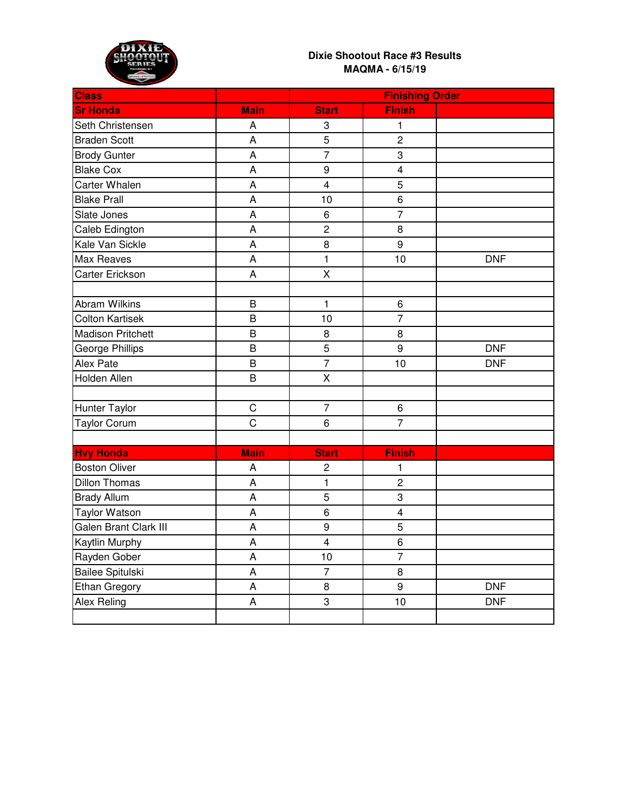

| <b>Class</b>                 |                | <b>Finishing Order</b>  |                         |            |
|------------------------------|----------------|-------------------------|-------------------------|------------|
| <b>Sr Honda</b>              | <b>Main</b>    | <b>Start</b>            | <b>Finish</b>           |            |
| Seth Christensen             | A              | 3                       | 1                       |            |
| <b>Braden Scott</b>          | A              | 5                       | $\overline{2}$          |            |
| <b>Brody Gunter</b>          | A              | $\overline{7}$          | 3                       |            |
| <b>Blake Cox</b>             | A              | 9                       | $\overline{\mathbf{4}}$ |            |
| Carter Whalen                | A              | $\overline{\mathbf{4}}$ | 5                       |            |
| <b>Blake Prall</b>           | A              | 10                      | 6                       |            |
| Slate Jones                  | A              | 6                       | $\overline{7}$          |            |
| Caleb Edington               | A              | $\overline{c}$          | 8                       |            |
| Kale Van Sickle              | A              | 8                       | 9                       |            |
| Max Reaves                   | A              | $\mathbf{1}$            | 10                      | <b>DNF</b> |
| Carter Erickson              | A              | X                       |                         |            |
|                              |                |                         |                         |            |
| <b>Abram Wilkins</b>         | B              | 1                       | 6                       |            |
| <b>Colton Kartisek</b>       | B              | 10                      | $\overline{7}$          |            |
| <b>Madison Pritchett</b>     | B              | 8                       | 8                       |            |
| George Phillips              | B              | 5                       | 9                       | <b>DNF</b> |
| Alex Pate                    | B              | $\overline{7}$          | 10                      | <b>DNF</b> |
| Holden Allen                 | B              | X                       |                         |            |
|                              |                |                         |                         |            |
| <b>Hunter Taylor</b>         | $\mathsf C$    | $\overline{7}$          | 6                       |            |
| <b>Taylor Corum</b>          | $\overline{C}$ | 6                       | $\overline{7}$          |            |
|                              |                |                         |                         |            |
| <b>Hvy Honda</b>             | <b>Main</b>    | <b>Start</b>            | <b>Finish</b>           |            |
| <b>Boston Oliver</b>         | Α              | 2                       | 1                       |            |
| <b>Dillon Thomas</b>         | A              | 1                       | $\overline{c}$          |            |
| <b>Brady Allum</b>           | A              | 5                       | 3                       |            |
| <b>Taylor Watson</b>         | A              | 6                       | $\overline{\mathbf{4}}$ |            |
| <b>Galen Brant Clark III</b> | A              | 9                       | 5                       |            |
| <b>Kaytlin Murphy</b>        | A              | $\overline{\mathbf{4}}$ | 6                       |            |
| Rayden Gober                 | A              | 10                      | $\overline{7}$          |            |
| Bailee Spitulski             | A              | $\overline{7}$          | 8                       |            |
| <b>Ethan Gregory</b>         | A              | 8                       | 9                       | <b>DNF</b> |
| Alex Reling                  | $\mathsf A$    | 3                       | 10                      | <b>DNF</b> |
|                              |                |                         |                         |            |
|                              |                |                         |                         |            |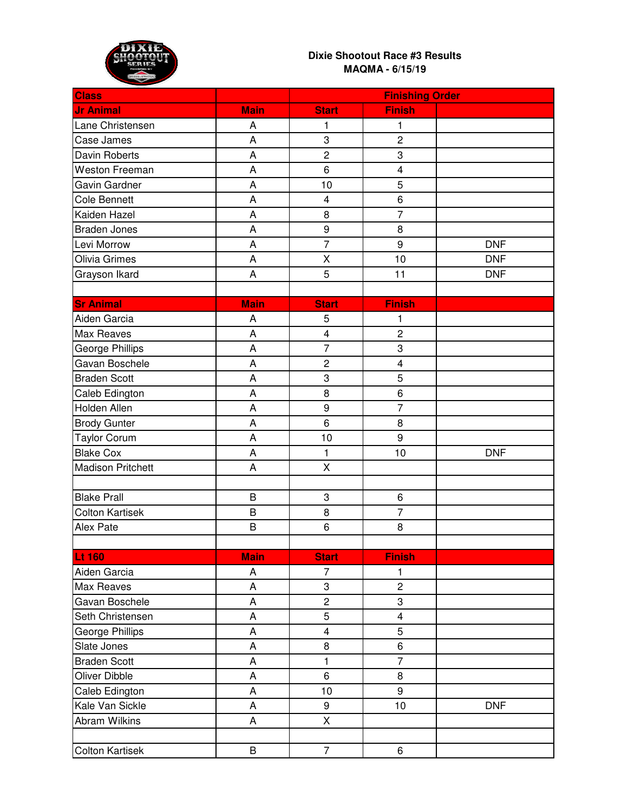

| <b>Class</b>             |             | <b>Finishing Order</b>  |                         |            |
|--------------------------|-------------|-------------------------|-------------------------|------------|
| <b>Jr Animal</b>         | <b>Main</b> | <b>Start</b>            | <b>Finish</b>           |            |
| Lane Christensen         | Α           | 1                       | 1                       |            |
| Case James               | A           | 3                       | $\overline{c}$          |            |
| Davin Roberts            | A           | $\overline{c}$          | 3                       |            |
| <b>Weston Freeman</b>    | Α           | 6                       | 4                       |            |
| Gavin Gardner            | A           | 10                      | 5                       |            |
| <b>Cole Bennett</b>      | A           | 4                       | 6                       |            |
| Kaiden Hazel             | A           | 8                       | $\overline{7}$          |            |
| <b>Braden Jones</b>      | A           | $\boldsymbol{9}$        | $\bf 8$                 |            |
| Levi Morrow              | A           | $\overline{7}$          | 9                       | <b>DNF</b> |
| Olivia Grimes            | A           | $\pmb{\mathsf{X}}$      | 10                      | <b>DNF</b> |
| Grayson Ikard            | A           | 5                       | 11                      | <b>DNF</b> |
|                          |             |                         |                         |            |
| <b>Sr Animal</b>         | <b>Main</b> | <b>Start</b>            | <b>Finish</b>           |            |
| Aiden Garcia             | A           | 5                       | 1                       |            |
| Max Reaves               | A           | $\overline{\mathbf{4}}$ | $\overline{c}$          |            |
| George Phillips          | Α           | $\overline{7}$          | 3                       |            |
| Gavan Boschele           | A           | $\overline{c}$          | $\overline{\mathbf{4}}$ |            |
| <b>Braden Scott</b>      | A           | 3                       | 5                       |            |
| Caleb Edington           | A           | 8                       | 6                       |            |
| Holden Allen             | A           | $\boldsymbol{9}$        | $\overline{7}$          |            |
| <b>Brody Gunter</b>      | A           | 6                       | 8                       |            |
| <b>Taylor Corum</b>      | A           | 10                      | 9                       |            |
| <b>Blake Cox</b>         | A           | 1                       | 10                      | <b>DNF</b> |
| <b>Madison Pritchett</b> | A           | $\pmb{\mathsf{X}}$      |                         |            |
|                          |             |                         |                         |            |
| <b>Blake Prall</b>       | B           | 3                       | 6                       |            |
| <b>Colton Kartisek</b>   | B           | 8                       | $\overline{7}$          |            |
| Alex Pate                | B           | 6                       | 8                       |            |
|                          |             |                         |                         |            |
| <b>Lt 160</b>            | <b>Main</b> | <b>Start</b>            | <b>Finish</b>           |            |
| Aiden Garcia             | А           | $\overline{7}$          | 1                       |            |
| Max Reaves               | A           | 3                       | $\overline{c}$          |            |
| Gavan Boschele           | A           | $\overline{c}$          | 3                       |            |
| Seth Christensen         | A           | 5                       | 4                       |            |
| George Phillips          | A           | 4                       | 5                       |            |
| Slate Jones              | A           | 8                       | 6                       |            |
| <b>Braden Scott</b>      | Α           | 1                       | $\overline{7}$          |            |
| Oliver Dibble            | A           | 6                       | 8                       |            |
| Caleb Edington           | A           | 10                      | 9                       |            |
| Kale Van Sickle          | A           | 9                       | 10                      | <b>DNF</b> |
| Abram Wilkins            | A           | $\sf X$                 |                         |            |
|                          |             |                         |                         |            |
| <b>Colton Kartisek</b>   | B           | $\overline{7}$          | 6                       |            |